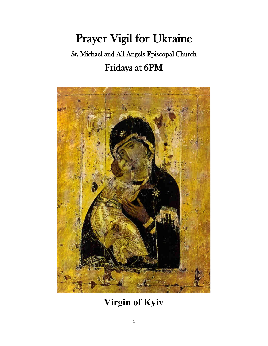# Prayer Vigil for Ukraine

# St. Michael and All Angels Episcopal Church Fridays at 6PM



# **Virgin of Kyiv**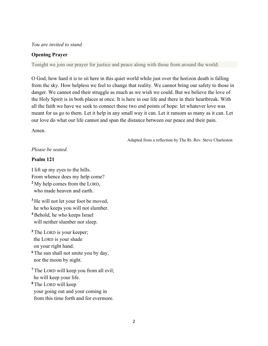#### *You are invited to stand.*

#### **Opening Prayer**

Tonight we join our prayer for justice and peace along with those from around the world:

O God, how hard it is to sit here in this quiet world while just over the horizon death is falling from the sky. How helpless we feel to change that reality. We cannot bring our safety to those in danger. We cannot end their struggle as much as we wish we could. But we believe the love of the Holy Spirit is in both places at once. It is here in our life and there in their heartbreak. With all the faith we have we seek to connect those two end points of hope: let whatever love was meant for us go to them. Let it help in any small way it can. Let it ransom as many as it can. Let our love do what our life cannot and span the distance between our peace and their pain.

Amen.

Adapted from a reflection by The Rt. Rev. Steve Charleston

### *Please be seated.*

#### **Psalm 121**

I lift up my eyes to the hills. From whence does my help come? **<sup>2</sup>**My help comes from the LORD, who made heaven and earth.

<sup>3</sup>He will not let your foot be moved, he who keeps you will not slumber. **<sup>4</sup>**Behold, he who keeps Israel

will neither slumber nor sleep.

**<sup>5</sup>**The LORD is your keeper; the LORD is your shade on your right hand.

<sup>6</sup>The sun shall not smite you by day, nor the moon by night.

**<sup>7</sup>**The LORD will keep you from all evil; he will keep your life. **<sup>8</sup>**The LORD will keep

 your going out and your coming in from this time forth and for evermore.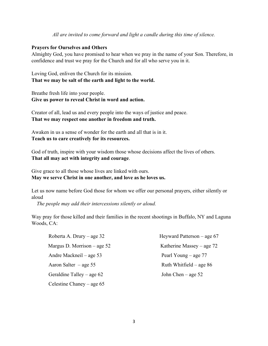#### *All are invited to come forward and light a candle during this time of silence.*

#### **Prayers for Ourselves and Others**

Almighty God, you have promised to hear when we pray in the name of your Son. Therefore, in confidence and trust we pray for the Church and for all who serve you in it.

Loving God, enliven the Church for its mission. **That we may be salt of the earth and light to the world.**

Breathe fresh life into your people. **Give us power to reveal Christ in word and action.**

Creator of all, lead us and every people into the ways of justice and peace. **That we may respect one another in freedom and truth.**

Awaken in us a sense of wonder for the earth and all that is in it. **Teach us to care creatively for its resources.**

God of truth, inspire with your wisdom those whose decisions affect the lives of others. **That all may act with integrity and courage**.

Give grace to all those whose lives are linked with ours. **May we serve Christ in one another, and love as he loves us.**

Let us now name before God those for whom we offer our personal prayers, either silently or aloud

*The people may add their intercessions silently or aloud.*

Way pray for those killed and their families in the recent shootings in Buffalo, NY and Laguna Woods, CA:

| Roberta A. Drury – age $32$   | Heyward Patterson $-$ age 67 |
|-------------------------------|------------------------------|
| Margus D. Morrison $-$ age 52 | Katherine Massey – age $72$  |
| Andre Mackneil – age 53       | Pearl Young $-$ age 77       |
| Aaron Salter $-$ age 55       | Ruth Whitfield – age $86$    |
| Geraldine Talley – age $62$   | John Chen $-$ age 52         |
| Celestine Chaney – age $65$   |                              |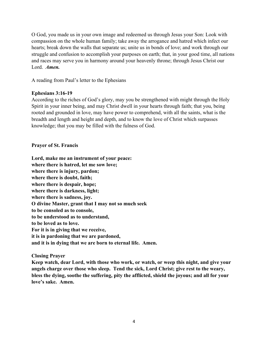O God, you made us in your own image and redeemed us through Jesus your Son: Look with compassion on the whole human family; take away the arrogance and hatred which infect our hearts; break down the walls that separate us; unite us in bonds of love; and work through our struggle and confusion to accomplish your purposes on earth; that, in your good time, all nations and races may serve you in harmony around your heavenly throne; through Jesus Christ our Lord. *Amen.*

A reading from Paul's letter to the Ephesians

### **Ephesians 3:16-19**

According to the riches of God's glory, may you be strengthened with might through the Holy Spirit in your inner being, and may Christ dwell in your hearts through faith; that you, being rooted and grounded in love, may have power to comprehend, with all the saints, what is the breadth and length and height and depth, and to know the love of Christ which surpasses knowledge; that you may be filled with the fulness of God.

# **Prayer of St. Francis**

**Lord, make me an instrument of your peace: where there is hatred, let me sow love; where there is injury, pardon; where there is doubt, faith; where there is despair, hope; where there is darkness, light; where there is sadness, joy. O divine Master, grant that I may not so much seek to be consoled as to console, to be understood as to understand, to be loved as to love. For it is in giving that we receive, it is in pardoning that we are pardoned, and it is in dying that we are born to eternal life. Amen.**

# **Closing Prayer**

**Keep watch, dear Lord, with those who work, or watch, or weep this night, and give your angels charge over those who sleep. Tend the sick, Lord Christ; give rest to the weary, bless the dying, soothe the suffering, pity the afflicted, shield the joyous; and all for your love's sake. Amen.**